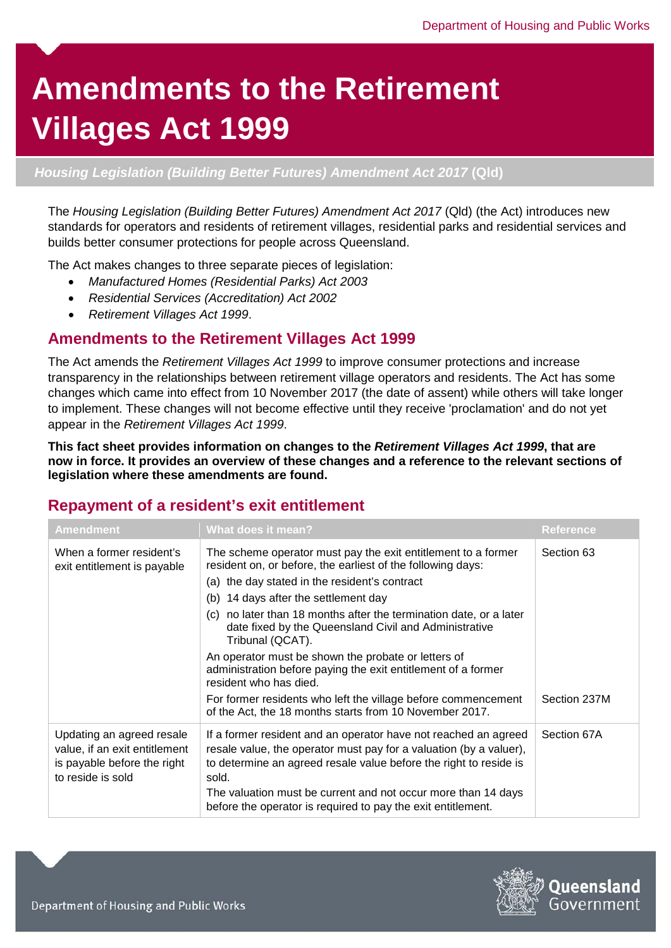# **Amendments to the Retirement Villages Act 1999**

#### *Housing Legislation (Building Better Futures) Amendment Act 2017* **(Qld)**

The *Housing Legislation (Building Better Futures) Amendment Act 2017* (Qld) (the Act) introduces new standards for operators and residents of retirement villages, residential parks and residential services and builds better consumer protections for people across Queensland.

The Act makes changes to three separate pieces of legislation:

- *Manufactured Homes (Residential Parks) Act 2003*
- *Residential Services (Accreditation) Act 2002*
- *Retirement Villages Act 1999*.

# **Amendments to the Retirement Villages Act 1999**

The Act amends the *Retirement Villages Act 1999* to improve consumer protections and increase transparency in the relationships between retirement village operators and residents. The Act has some changes which came into effect from 10 November 2017 (the date of assent) while others will take longer to implement. These changes will not become effective until they receive 'proclamation' and do not yet appear in the *Retirement Villages Act 1999*.

**This fact sheet provides information on changes to the** *Retirement Villages Act 1999***, that are now in force. It provides an overview of these changes and a reference to the relevant sections of legislation where these amendments are found.** 

# **Repayment of a resident's exit entitlement**

| <b>Amendment</b>                                                                                               | <b>What does it mean?</b>                                                                                                                                                                                                                                                                                                                                                                                                                                                                                                  | <b>Reference</b> |
|----------------------------------------------------------------------------------------------------------------|----------------------------------------------------------------------------------------------------------------------------------------------------------------------------------------------------------------------------------------------------------------------------------------------------------------------------------------------------------------------------------------------------------------------------------------------------------------------------------------------------------------------------|------------------|
| When a former resident's<br>exit entitlement is payable                                                        | The scheme operator must pay the exit entitlement to a former<br>resident on, or before, the earliest of the following days:<br>(a) the day stated in the resident's contract<br>(b) 14 days after the settlement day<br>(c) no later than 18 months after the termination date, or a later<br>date fixed by the Queensland Civil and Administrative<br>Tribunal (QCAT).<br>An operator must be shown the probate or letters of<br>administration before paying the exit entitlement of a former<br>resident who has died. | Section 63       |
|                                                                                                                | For former residents who left the village before commencement<br>of the Act, the 18 months starts from 10 November 2017.                                                                                                                                                                                                                                                                                                                                                                                                   | Section 237M     |
| Updating an agreed resale<br>value, if an exit entitlement<br>is payable before the right<br>to reside is sold | If a former resident and an operator have not reached an agreed<br>resale value, the operator must pay for a valuation (by a valuer),<br>to determine an agreed resale value before the right to reside is<br>sold.<br>The valuation must be current and not occur more than 14 days<br>before the operator is required to pay the exit entitlement.                                                                                                                                                                       | Section 67A      |